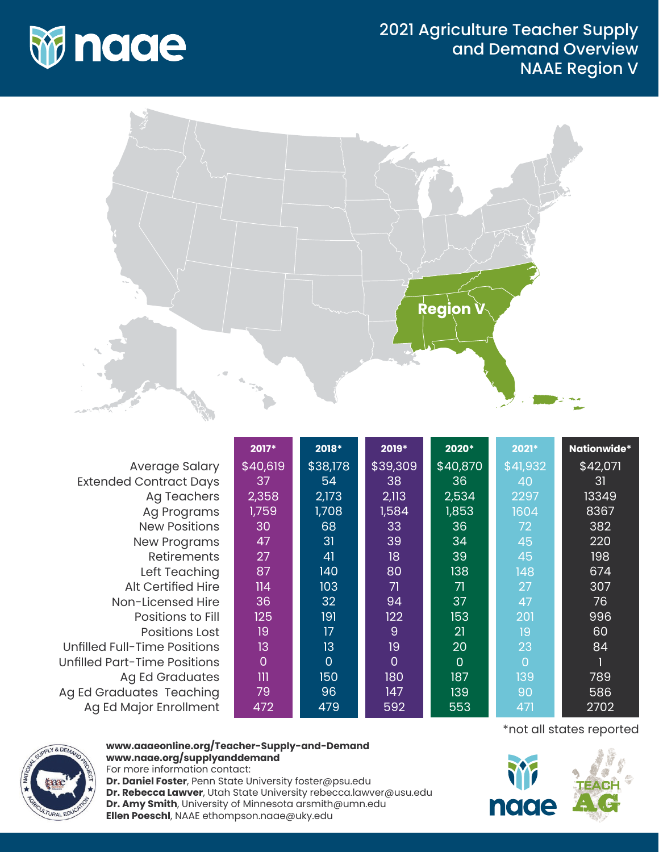



|                                     | 2017*          | 2018*          | 2019*          | 2020*          | 2021*    | <b>Nationwide*</b> |
|-------------------------------------|----------------|----------------|----------------|----------------|----------|--------------------|
| Average Salary                      | \$40,619       | \$38,178       | \$39,309       | \$40,870       | \$41,932 | \$42,071           |
| <b>Extended Contract Days</b>       | 37             | 54             | 38             | 36             | 40       | 31                 |
| Ag Teachers                         | 2,358          | 2,173          | 2,113          | 2,534          | 2297     | 13349              |
| Ag Programs                         | 1,759          | 1,708          | 1,584          | 1,853          | 1604     | 8367               |
| <b>New Positions</b>                | 30             | 68             | 33             | 36             | 72       | 382                |
| <b>New Programs</b>                 | 47             | 31             | 39             | 34             | 45       | 220                |
| <b>Retirements</b>                  | 27             | 41             | 18             | 39             | 45       | 198                |
| Left Teaching                       | 87             | 140            | 80             | 138            | 148      | 674                |
| <b>Alt Certified Hire</b>           | 114            | 103            | 71             | 71             | 27       | 307                |
| Non-Licensed Hire                   | 36             | 32             | 94             | 37             | 47       | 76                 |
| Positions to Fill                   | 125            | 191            | 122            | 153            | 201      | 996                |
| <b>Positions Lost</b>               | 19             | 17             | $\overline{9}$ | 21             | 19       | 60                 |
| <b>Unfilled Full-Time Positions</b> | 13             | 13             | 19             | 20             | 23       | 84                 |
| <b>Unfilled Part-Time Positions</b> | $\overline{0}$ | $\overline{0}$ | $\Omega$       | $\overline{0}$ | $\Omega$ |                    |
| <b>Ag Ed Graduates</b>              | $\mathbf{m}$   | 150            | 180            | 187            | 139      | 789                |
| Ag Ed Graduates Teaching            | 79             | 96             | 147            | 139            | 90       | 586                |
| Ag Ed Major Enrollment              | 472            | 479            | 592            | 553            | 471      | 2702               |



## **www.aaaeonline.org/Teacher-Supply-and-Demand www.naae.org/supplyanddemand**

For more information contact: **Dr. Daniel Foster**, Penn State University foster@psu.edu **Dr. Rebecca Lawver**, Utah State University rebecca.lawver@usu.edu **Dr. Amy Smith**, University of Minnesota arsmith@umn.edu **Ellen Poeschl**, NAAE ethompson.naae@uky.edu

\*not all states reported